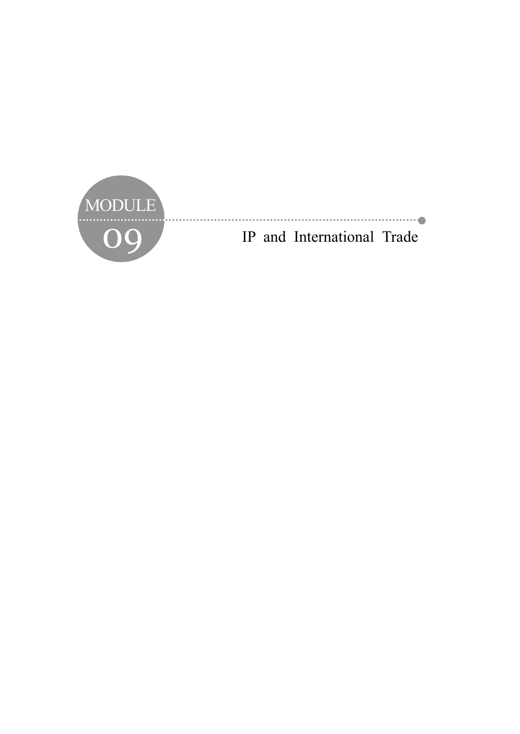

O9 IP and International Trade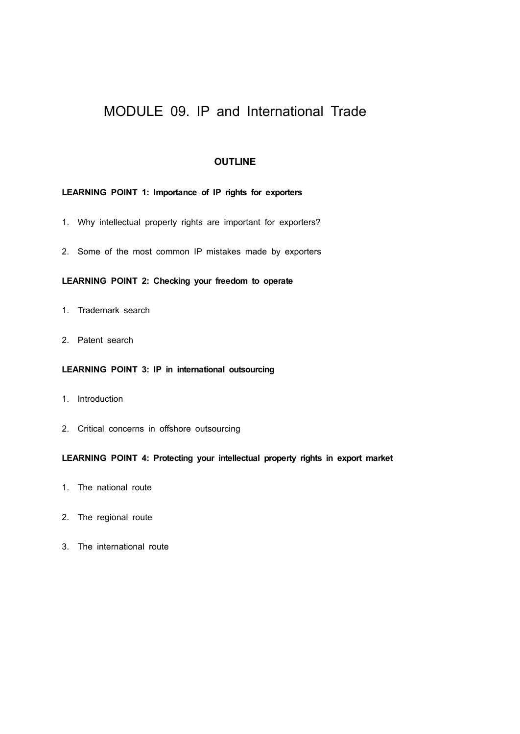# MODULE 09. IP and International Trade

## **OUTLINE**

## **LEARNING POINT 1: Importance of IP rights for exporters**

- 1. Why intellectual property rights are important for exporters?
- 2. Some of the most common IP mistakes made by exporters

## **LEARNING POINT 2: Checking your freedom to operate**

- 1. Trademark search
- 2. Patent search

### **LEARNING POINT 3: IP in international outsourcing**

- 1. Introduction
- 2. Critical concerns in offshore outsourcing

## **LEARNING POINT 4: Protecting your intellectual property rights in export market**

- 1. The national route
- 2. The regional route
- 3. The international route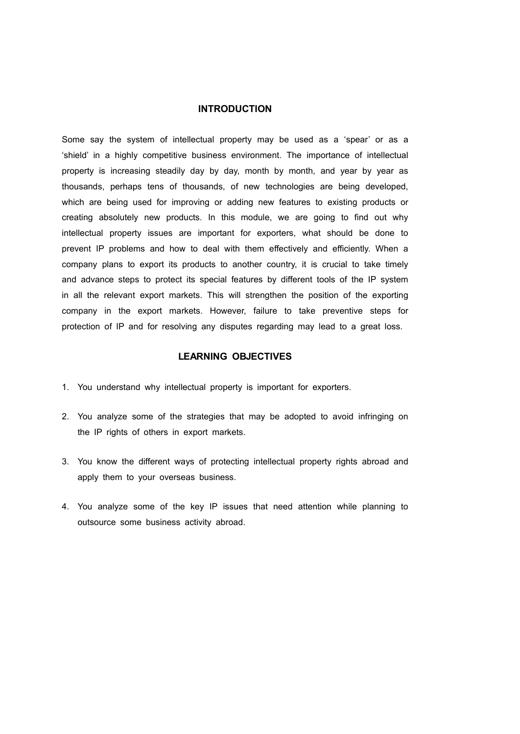## **INTRODUCTION**

Some say the system of intellectual property may be used as a 'spear' or as a 'shield' in a highly competitive business environment. The importance of intellectual property is increasing steadily day by day, month by month, and year by year as thousands, perhaps tens of thousands, of new technologies are being developed, which are being used for improving or adding new features to existing products or creating absolutely new products. In this module, we are going to find out why intellectual property issues are important for exporters, what should be done to prevent IP problems and how to deal with them effectively and efficiently. When a company plans to export its products to another country, it is crucial to take timely and advance steps to protect its special features by different tools of the IP system in all the relevant export markets. This will strengthen the position of the exporting company in the export markets. However, failure to take preventive steps for protection of IP and for resolving any disputes regarding may lead to a great loss.

## **LEARNING OBJECTIVES**

- 1. You understand why intellectual property is important for exporters.
- 2. You analyze some of the strategies that may be adopted to avoid infringing on the IP rights of others in export markets.
- 3. You know the different ways of protecting intellectual property rights abroad and apply them to your overseas business.
- 4. You analyze some of the key IP issues that need attention while planning to outsource some business activity abroad.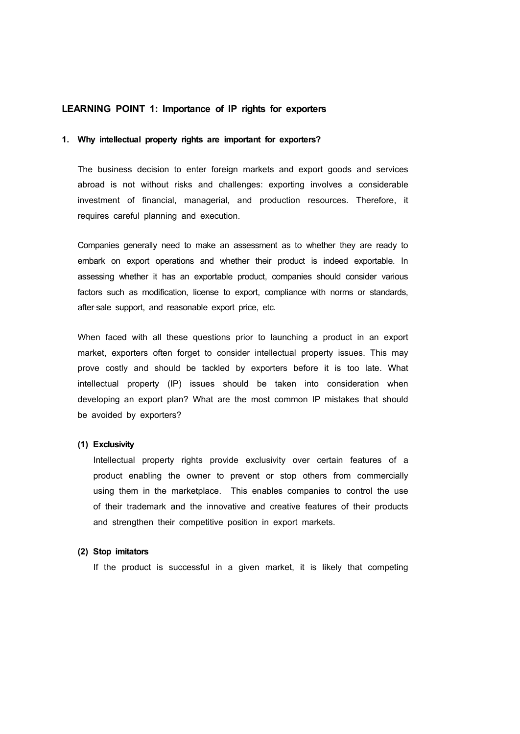### **LEARNING POINT 1: Importance of IP rights for exporters**

#### **1. Why intellectual property rights are important for exporters?**

The business decision to enter foreign markets and export goods and services abroad is not without risks and challenges: exporting involves a considerable investment of financial, managerial, and production resources. Therefore, it requires careful planning and execution.

Companies generally need to make an assessment as to whether they are ready to embark on export operations and whether their product is indeed exportable. In assessing whether it has an exportable product, companies should consider various factors such as modification, license to export, compliance with norms or standards, after‐sale support, and reasonable export price, etc.

When faced with all these questions prior to launching a product in an export market, exporters often forget to consider intellectual property issues. This may prove costly and should be tackled by exporters before it is too late. What intellectual property (IP) issues should be taken into consideration when developing an export plan? What are the most common IP mistakes that should be avoided by exporters?

#### **(1) Exclusivity**

Intellectual property rights provide exclusivity over certain features of a product enabling the owner to prevent or stop others from commercially using them in the marketplace. This enables companies to control the use of their trademark and the innovative and creative features of their products and strengthen their competitive position in export markets.

#### **(2) Stop imitators**

If the product is successful in a given market, it is likely that competing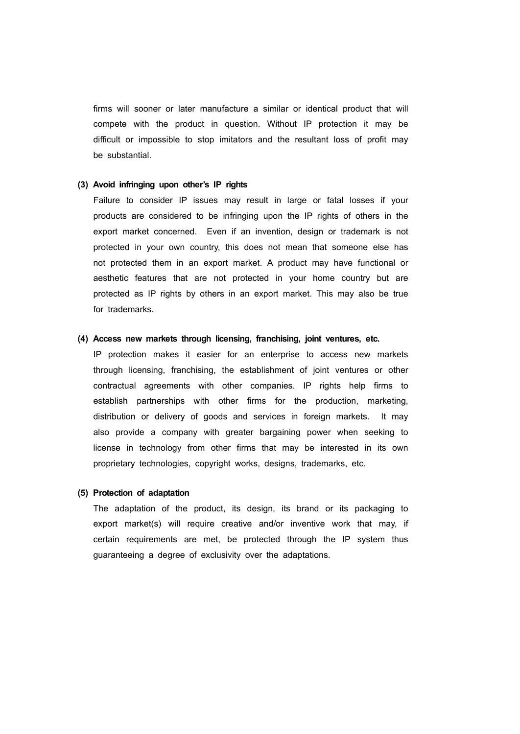firms will sooner or later manufacture a similar or identical product that will compete with the product in question. Without IP protection it may be difficult or impossible to stop imitators and the resultant loss of profit may be substantial.

## **(3) Avoid infringing upon other's IP rights**

Failure to consider IP issues may result in large or fatal losses if your products are considered to be infringing upon the IP rights of others in the export market concerned. Even if an invention, design or trademark is not protected in your own country, this does not mean that someone else has not protected them in an export market. A product may have functional or aesthetic features that are not protected in your home country but are protected as IP rights by others in an export market. This may also be true for trademarks.

#### **(4) Access new markets through licensing, franchising, joint ventures, etc.**

IP protection makes it easier for an enterprise to access new markets through licensing, franchising, the establishment of joint ventures or other contractual agreements with other companies. IP rights help firms to establish partnerships with other firms for the production, marketing, distribution or delivery of goods and services in foreign markets. It may also provide a company with greater bargaining power when seeking to license in technology from other firms that may be interested in its own proprietary technologies, copyright works, designs, trademarks, etc.

#### **(5) Protection of adaptation**

The adaptation of the product, its design, its brand or its packaging to export market(s) will require creative and/or inventive work that may, if certain requirements are met, be protected through the IP system thus guaranteeing a degree of exclusivity over the adaptations.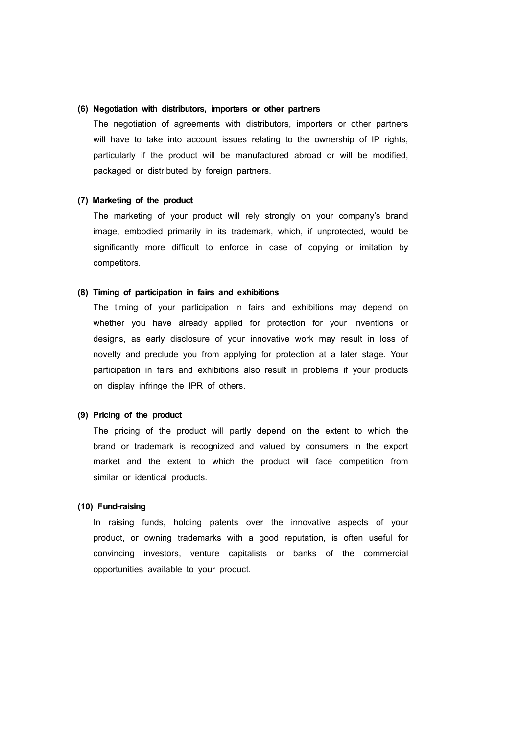### **(6) Negotiation with distributors, importers or other partners**

The negotiation of agreements with distributors, importers or other partners will have to take into account issues relating to the ownership of IP rights, particularly if the product will be manufactured abroad or will be modified, packaged or distributed by foreign partners.

#### **(7) Marketing of the product**

The marketing of your product will rely strongly on your company's brand image, embodied primarily in its trademark, which, if unprotected, would be significantly more difficult to enforce in case of copying or imitation by competitors.

#### **(8) Timing of participation in fairs and exhibitions**

The timing of your participation in fairs and exhibitions may depend on whether you have already applied for protection for your inventions or designs, as early disclosure of your innovative work may result in loss of novelty and preclude you from applying for protection at a later stage. Your participation in fairs and exhibitions also result in problems if your products on display infringe the IPR of others.

### **(9) Pricing of the product**

The pricing of the product will partly depend on the extent to which the brand or trademark is recognized and valued by consumers in the export market and the extent to which the product will face competition from similar or identical products.

## **(10) Fund**‐**raising**

In raising funds, holding patents over the innovative aspects of your product, or owning trademarks with a good reputation, is often useful for convincing investors, venture capitalists or banks of the commercial opportunities available to your product.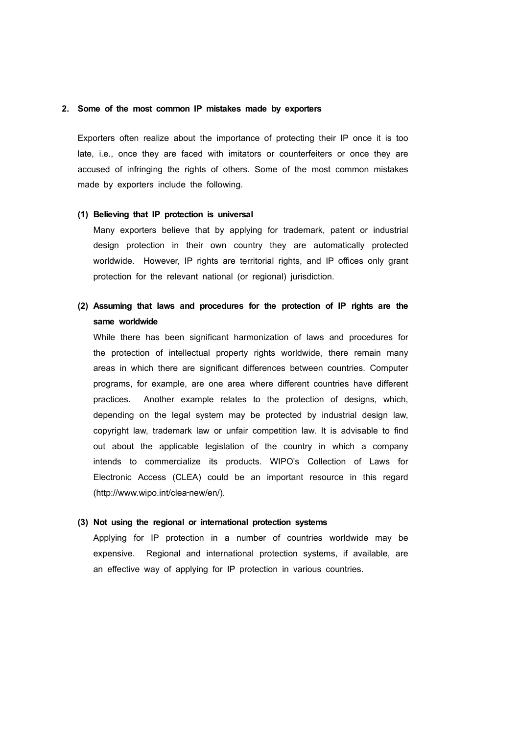#### **2. Some of the most common IP mistakes made by exporters**

Exporters often realize about the importance of protecting their IP once it is too late, i.e., once they are faced with imitators or counterfeiters or once they are accused of infringing the rights of others. Some of the most common mistakes made by exporters include the following.

#### **(1) Believing that IP protection is universal**

Many exporters believe that by applying for trademark, patent or industrial design protection in their own country they are automatically protected worldwide. However, IP rights are territorial rights, and IP offices only grant protection for the relevant national (or regional) jurisdiction.

## **(2) Assuming that laws and procedures for the protection of IP rights are the same worldwide**

While there has been significant harmonization of laws and procedures for the protection of intellectual property rights worldwide, there remain many areas in which there are significant differences between countries. Computer programs, for example, are one area where different countries have different practices. Another example relates to the protection of designs, which, depending on the legal system may be protected by industrial design law, copyright law, trademark law or unfair competition law. It is advisable to find out about the applicable legislation of the country in which a company intends to commercialize its products. WIPO's Collection of Laws for Electronic Access (CLEA) could be an important resource in this regard (http://www.wipo.int/clea‐new/en/).

#### **(3) Not using the regional or international protection systems**

Applying for IP protection in a number of countries worldwide may be expensive. Regional and international protection systems, if available, are an effective way of applying for IP protection in various countries.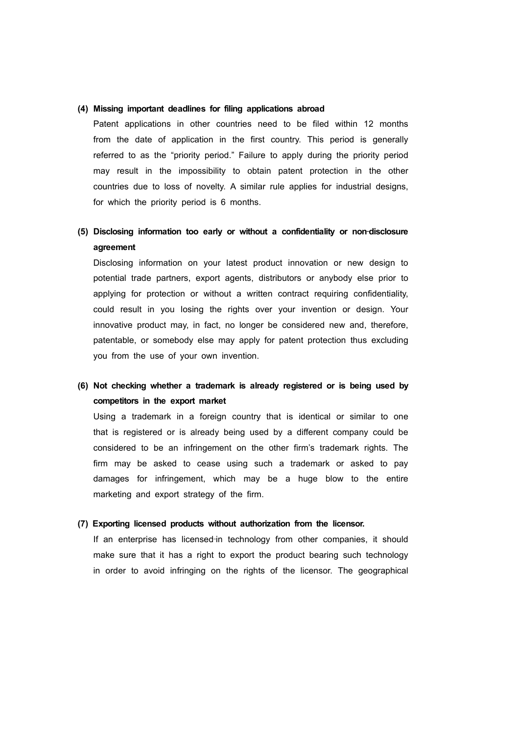### **(4) Missing important deadlines for filing applications abroad**

Patent applications in other countries need to be filed within 12 months from the date of application in the first country. This period is generally referred to as the "priority period." Failure to apply during the priority period may result in the impossibility to obtain patent protection in the other countries due to loss of novelty. A similar rule applies for industrial designs, for which the priority period is 6 months.

## **(5) Disclosing information too early or without a confidentiality or non**‐**disclosure agreement**

Disclosing information on your latest product innovation or new design to potential trade partners, export agents, distributors or anybody else prior to applying for protection or without a written contract requiring confidentiality, could result in you losing the rights over your invention or design. Your innovative product may, in fact, no longer be considered new and, therefore, patentable, or somebody else may apply for patent protection thus excluding you from the use of your own invention.

## **(6) Not checking whether a trademark is already registered or is being used by competitors in the export market**

Using a trademark in a foreign country that is identical or similar to one that is registered or is already being used by a different company could be considered to be an infringement on the other firm's trademark rights. The firm may be asked to cease using such a trademark or asked to pay damages for infringement, which may be a huge blow to the entire marketing and export strategy of the firm.

### **(7) Exporting licensed products without authorization from the licensor.**

If an enterprise has licensed-in technology from other companies, it should make sure that it has a right to export the product bearing such technology in order to avoid infringing on the rights of the licensor. The geographical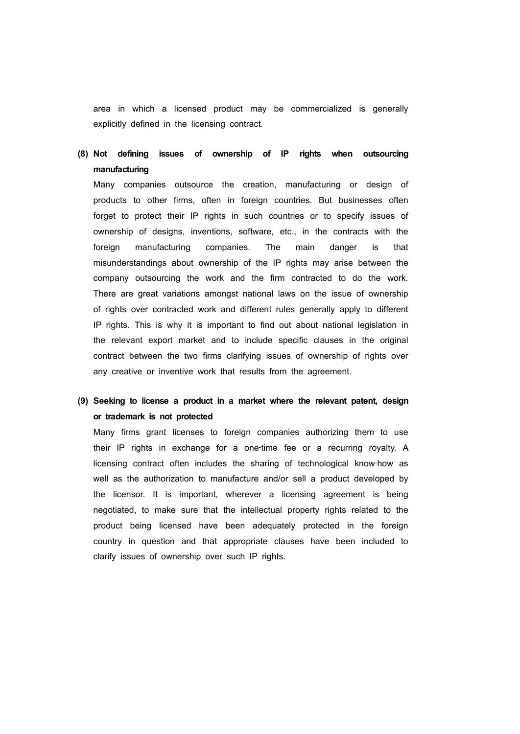area in which a licensed product may be commercialized is generally explicitly defined in the licensing contract.

## **(8) Not defining issues of ownership of IP rights when outsourcing manufacturing**

Many companies outsource the creation, manufacturing or design of products to other firms, often in foreign countries. But businesses often forget to protect their IP rights in such countries or to specify issues of ownership of designs, inventions, software, etc., in the contracts with the foreign manufacturing companies. The main danger is that misunderstandings about ownership of the IP rights may arise between the company outsourcing the work and the firm contracted to do the work. There are great variations amongst national laws on the issue of ownership of rights over contracted work and different rules generally apply to different IP rights. This is why it is important to find out about national legislation in the relevant export market and to include specific clauses in the original contract between the two firms clarifying issues of ownership of rights over any creative or inventive work that results from the agreement.

## **(9) Seeking to license a product in a market where the relevant patent, design or trademark is not protected**

Many firms grant licenses to foreign companies authorizing them to use their IP rights in exchange for a one-time fee or a recurring royalty. A licensing contract often includes the sharing of technological know‐how as well as the authorization to manufacture and/or sell a product developed by the licensor. It is important, wherever a licensing agreement is being negotiated, to make sure that the intellectual property rights related to the product being licensed have been adequately protected in the foreign country in question and that appropriate clauses have been included to clarify issues of ownership over such IP rights.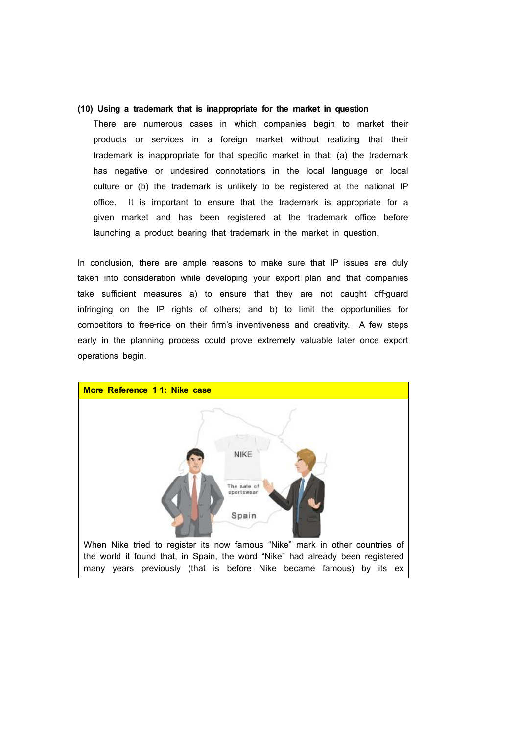#### **(10) Using a trademark that is inappropriate for the market in question**

There are numerous cases in which companies begin to market their products or services in a foreign market without realizing that their trademark is inappropriate for that specific market in that: (a) the trademark has negative or undesired connotations in the local language or local culture or (b) the trademark is unlikely to be registered at the national IP office. It is important to ensure that the trademark is appropriate for a given market and has been registered at the trademark office before launching a product bearing that trademark in the market in question.

In conclusion, there are ample reasons to make sure that IP issues are duly taken into consideration while developing your export plan and that companies take sufficient measures a) to ensure that they are not caught off-guard infringing on the IP rights of others; and b) to limit the opportunities for competitors to free-ride on their firm's inventiveness and creativity. A few steps early in the planning process could prove extremely valuable later once export operations begin.

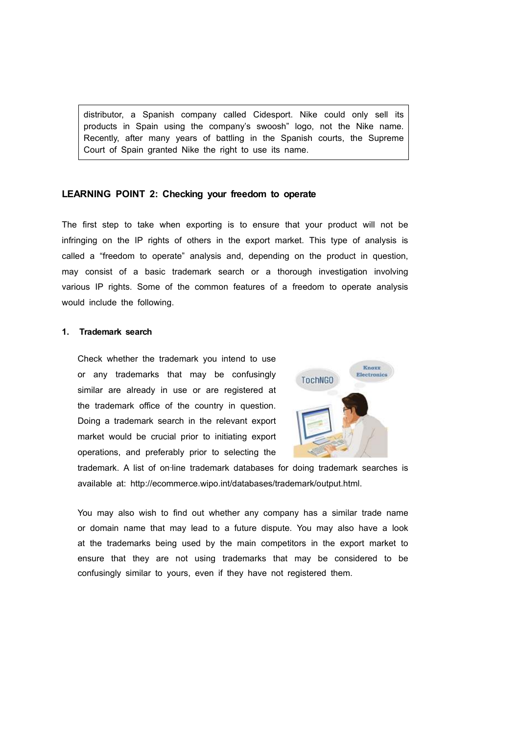distributor, a Spanish company called Cidesport. Nike could only sell its products in Spain using the company's swoosh" logo, not the Nike name. Recently, after many years of battling in the Spanish courts, the Supreme Court of Spain granted Nike the right to use its name.

## **LEARNING POINT 2: Checking your freedom to operate**

The first step to take when exporting is to ensure that your product will not be infringing on the IP rights of others in the export market. This type of analysis is called a "freedom to operate" analysis and, depending on the product in question, may consist of a basic trademark search or a thorough investigation involving various IP rights. Some of the common features of a freedom to operate analysis would include the following.

#### **1. Trademark search**

Check whether the trademark you intend to use or any trademarks that may be confusingly similar are already in use or are registered at the trademark office of the country in question. Doing a trademark search in the relevant export market would be crucial prior to initiating export operations, and preferably prior to selecting the



trademark. A list of on-line trademark databases for doing trademark searches is available at: http://ecommerce.wipo.int/databases/trademark/output.html.

You may also wish to find out whether any company has a similar trade name or domain name that may lead to a future dispute. You may also have a look at the trademarks being used by the main competitors in the export market to ensure that they are not using trademarks that may be considered to be confusingly similar to yours, even if they have not registered them.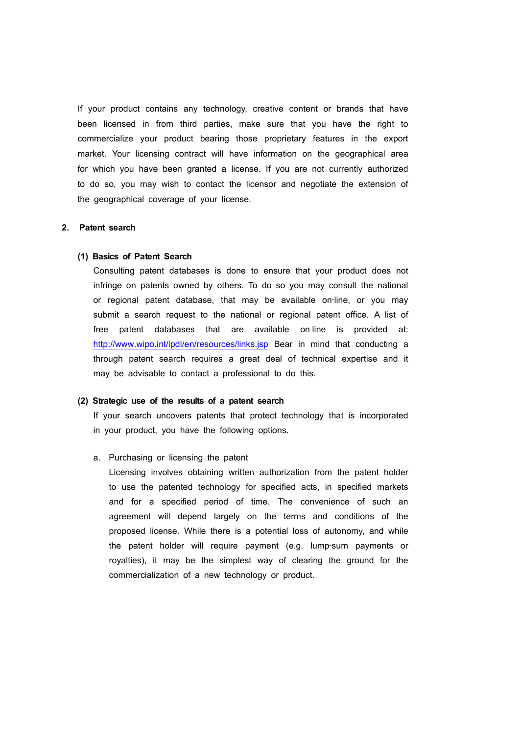If your product contains any technology, creative content or brands that have been licensed in from third parties, make sure that you have the right to commercialize your product bearing those proprietary features in the export market. Your licensing contract will have information on the geographical area for which you have been granted a license. If you are not currently authorized to do so, you may wish to contact the licensor and negotiate the extension of the geographical coverage of your license.

### **2. Patent search**

#### **(1) Basics of Patent Search**

Consulting patent databases is done to ensure that your product does not infringe on patents owned by others. To do so you may consult the national or regional patent database, that may be available on‐line, or you may submit a search request to the national or regional patent office. A list of free patent databases that are available on-line is provided at: http://www.wipo.int/ipdl/en/resources/links.jsp Bear in mind that conducting a through patent search requires a great deal of technical expertise and it may be advisable to contact a professional to do this.

#### **(2) Strategic use of the results of a patent search**

If your search uncovers patents that protect technology that is incorporated in your product, you have the following options.

#### a. Purchasing or licensing the patent

Licensing involves obtaining written authorization from the patent holder to use the patented technology for specified acts, in specified markets and for a specified period of time. The convenience of such an agreement will depend largely on the terms and conditions of the proposed license. While there is a potential loss of autonomy, and while the patent holder will require payment (e.g. lump‐sum payments or royalties), it may be the simplest way of clearing the ground for the commercialization of a new technology or product.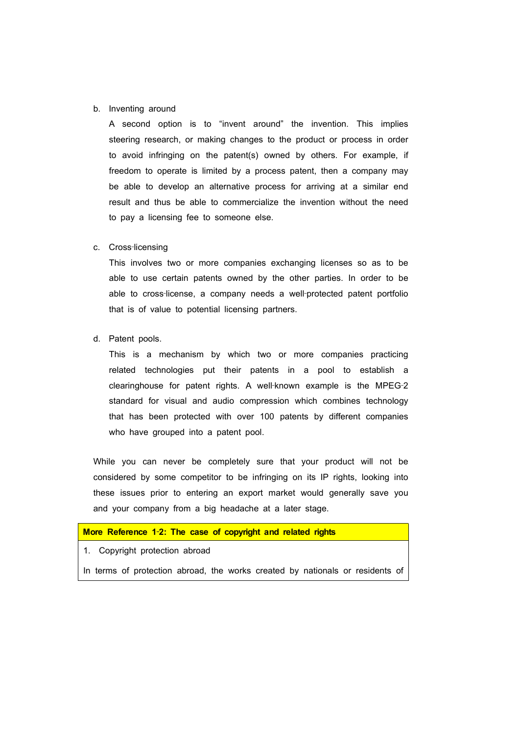#### b. Inventing around

A second option is to "invent around" the invention. This implies steering research, or making changes to the product or process in order to avoid infringing on the patent(s) owned by others. For example, if freedom to operate is limited by a process patent, then a company may be able to develop an alternative process for arriving at a similar end result and thus be able to commercialize the invention without the need to pay a licensing fee to someone else.

#### c. Cross‐licensing

This involves two or more companies exchanging licenses so as to be able to use certain patents owned by the other parties. In order to be able to cross‐license, a company needs a well‐protected patent portfolio that is of value to potential licensing partners.

#### d. Patent pools.

This is a mechanism by which two or more companies practicing related technologies put their patents in a pool to establish a clearinghouse for patent rights. A well-known example is the MPEG-2 standard for visual and audio compression which combines technology that has been protected with over 100 patents by different companies who have grouped into a patent pool.

While you can never be completely sure that your product will not be considered by some competitor to be infringing on its IP rights, looking into these issues prior to entering an export market would generally save you and your company from a big headache at a later stage.

## **More Reference 1**‐**2: The case of copyright and related rights**

### 1. Copyright protection abroad

In terms of protection abroad, the works created by nationals or residents of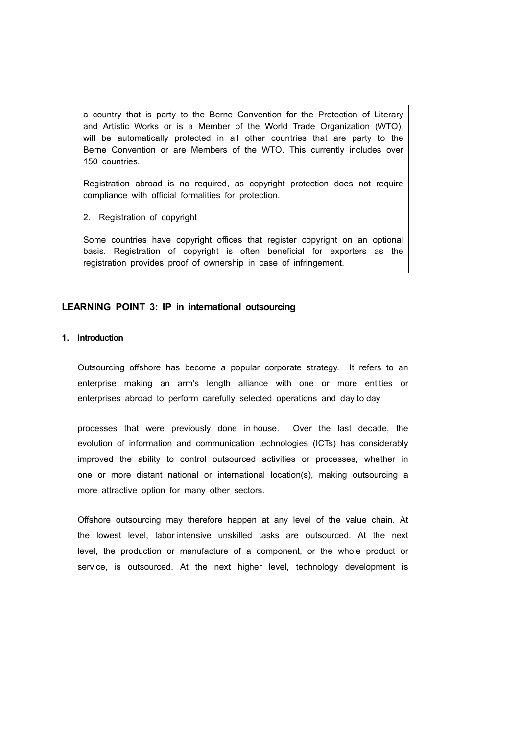a country that is party to the Berne Convention for the Protection of Literary and Artistic Works or is a Member of the World Trade Organization (WTO), will be automatically protected in all other countries that are party to the Berne Convention or are Members of the WTO. This currently includes over 150 countries.

Registration abroad is no required, as copyright protection does not require compliance with official formalities for protection.

2. Registration of copyright

Some countries have copyright offices that register copyright on an optional basis. Registration of copyright is often beneficial for exporters as the registration provides proof of ownership in case of infringement.

## **LEARNING POINT 3: IP in international outsourcing**

## **1. Introduction**

Outsourcing offshore has become a popular corporate strategy. It refers to an enterprise making an arm's length alliance with one or more entities or enterprises abroad to perform carefully selected operations and day-to-day

processes that were previously done in‐house. Over the last decade, the evolution of information and communication technologies (ICTs) has considerably improved the ability to control outsourced activities or processes, whether in one or more distant national or international location(s), making outsourcing a more attractive option for many other sectors.

Offshore outsourcing may therefore happen at any level of the value chain. At the lowest level, labor-intensive unskilled tasks are outsourced. At the next level, the production or manufacture of a component, or the whole product or service, is outsourced. At the next higher level, technology development is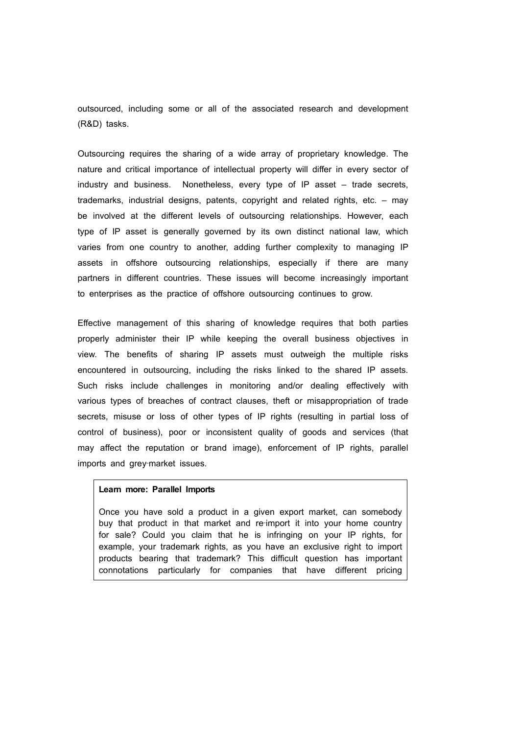outsourced, including some or all of the associated research and development (R&D) tasks.

Outsourcing requires the sharing of a wide array of proprietary knowledge. The nature and critical importance of intellectual property will differ in every sector of industry and business. Nonetheless, every type of IP asset – trade secrets, trademarks, industrial designs, patents, copyright and related rights, etc. – may be involved at the different levels of outsourcing relationships. However, each type of IP asset is generally governed by its own distinct national law, which varies from one country to another, adding further complexity to managing IP assets in offshore outsourcing relationships, especially if there are many partners in different countries. These issues will become increasingly important to enterprises as the practice of offshore outsourcing continues to grow.

Effective management of this sharing of knowledge requires that both parties properly administer their IP while keeping the overall business objectives in view. The benefits of sharing IP assets must outweigh the multiple risks encountered in outsourcing, including the risks linked to the shared IP assets. Such risks include challenges in monitoring and/or dealing effectively with various types of breaches of contract clauses, theft or misappropriation of trade secrets, misuse or loss of other types of IP rights (resulting in partial loss of control of business), poor or inconsistent quality of goods and services (that may affect the reputation or brand image), enforcement of IP rights, parallel imports and grey-market issues.

### **Learn more: Parallel Imports**

Once you have sold a product in a given export market, can somebody buy that product in that market and re-import it into your home country for sale? Could you claim that he is infringing on your IP rights, for example, your trademark rights, as you have an exclusive right to import products bearing that trademark? This difficult question has important connotations particularly for companies that have different pricing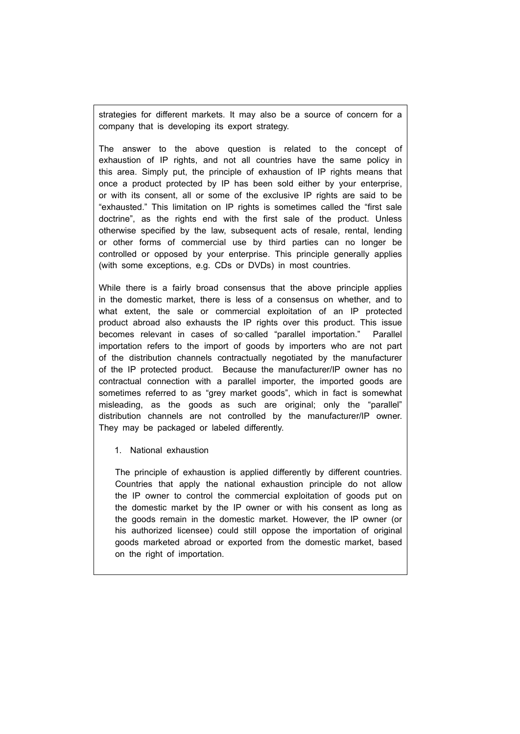strategies for different markets. It may also be a source of concern for a company that is developing its export strategy.

The answer to the above question is related to the concept of exhaustion of IP rights, and not all countries have the same policy in this area. Simply put, the principle of exhaustion of IP rights means that once a product protected by IP has been sold either by your enterprise, or with its consent, all or some of the exclusive IP rights are said to be "exhausted." This limitation on IP rights is sometimes called the "first sale doctrine", as the rights end with the first sale of the product. Unless otherwise specified by the law, subsequent acts of resale, rental, lending or other forms of commercial use by third parties can no longer be controlled or opposed by your enterprise. This principle generally applies (with some exceptions, e.g. CDs or DVDs) in most countries.

While there is a fairly broad consensus that the above principle applies in the domestic market, there is less of a consensus on whether, and to what extent, the sale or commercial exploitation of an IP protected product abroad also exhausts the IP rights over this product. This issue becomes relevant in cases of so-called "parallel importation." Parallel importation refers to the import of goods by importers who are not part of the distribution channels contractually negotiated by the manufacturer of the IP protected product. Because the manufacturer/IP owner has no contractual connection with a parallel importer, the imported goods are sometimes referred to as "grey market goods", which in fact is somewhat misleading, as the goods as such are original; only the "parallel" distribution channels are not controlled by the manufacturer/IP owner. They may be packaged or labeled differently.

1. National exhaustion

The principle of exhaustion is applied differently by different countries. Countries that apply the national exhaustion principle do not allow the IP owner to control the commercial exploitation of goods put on the domestic market by the IP owner or with his consent as long as the goods remain in the domestic market. However, the IP owner (or his authorized licensee) could still oppose the importation of original goods marketed abroad or exported from the domestic market, based on the right of importation.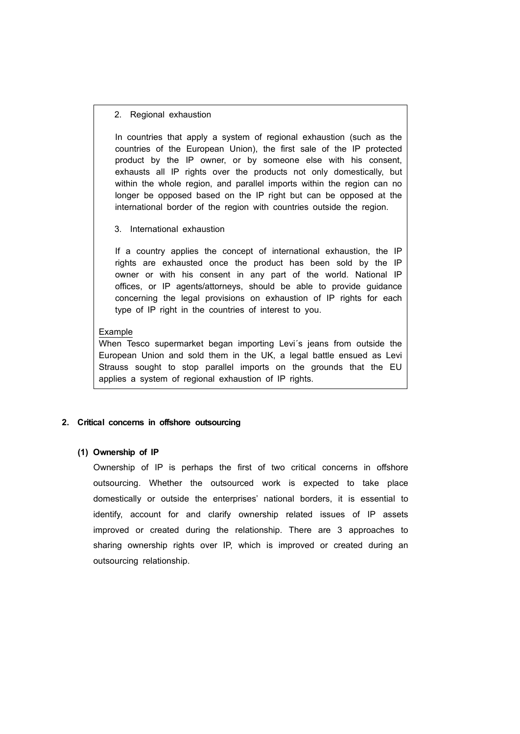#### 2. Regional exhaustion

In countries that apply a system of regional exhaustion (such as the countries of the European Union), the first sale of the IP protected product by the IP owner, or by someone else with his consent, exhausts all IP rights over the products not only domestically, but within the whole region, and parallel imports within the region can no longer be opposed based on the IP right but can be opposed at the international border of the region with countries outside the region.

3. International exhaustion

If a country applies the concept of international exhaustion, the IP rights are exhausted once the product has been sold by the IP owner or with his consent in any part of the world. National IP offices, or IP agents/attorneys, should be able to provide guidance concerning the legal provisions on exhaustion of IP rights for each type of IP right in the countries of interest to you.

#### Example

When Tesco supermarket began importing Levi´s jeans from outside the European Union and sold them in the UK, a legal battle ensued as Levi Strauss sought to stop parallel imports on the grounds that the EU applies a system of regional exhaustion of IP rights.

### **2. Critical concerns in offshore outsourcing**

#### **(1) Ownership of IP**

Ownership of IP is perhaps the first of two critical concerns in offshore outsourcing. Whether the outsourced work is expected to take place domestically or outside the enterprises' national borders, it is essential to identify, account for and clarify ownership related issues of IP assets improved or created during the relationship. There are 3 approaches to sharing ownership rights over IP, which is improved or created during an outsourcing relationship.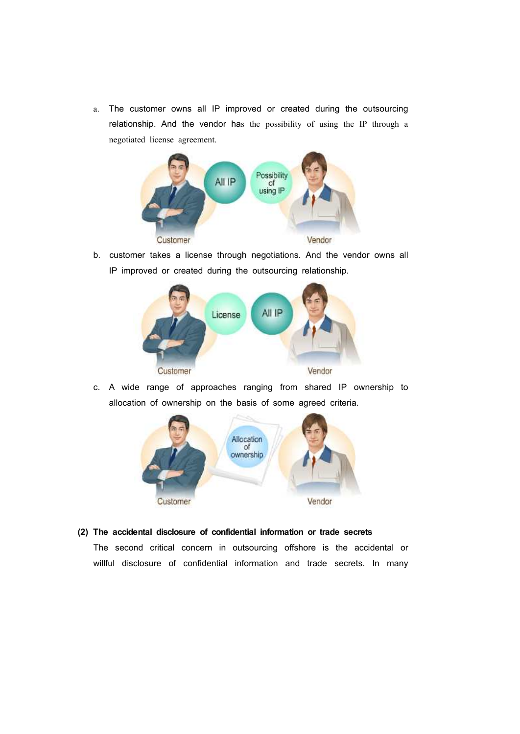a. The customer owns all IP improved or created during the outsourcing relationship. And the vendor has the possibility of using the IP through a negotiated license agreement.



b. customer takes a license through negotiations. And the vendor owns all IP improved or created during the outsourcing relationship.



c. A wide range of approaches ranging from shared IP ownership to allocation of ownership on the basis of some agreed criteria.



## **(2) The accidental disclosure of confidential information or trade secrets**

The second critical concern in outsourcing offshore is the accidental or willful disclosure of confidential information and trade secrets. In many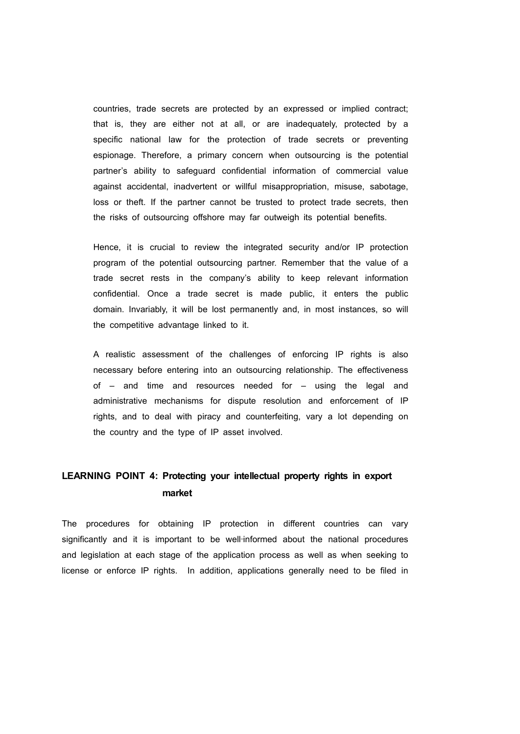countries, trade secrets are protected by an expressed or implied contract; that is, they are either not at all, or are inadequately, protected by a specific national law for the protection of trade secrets or preventing espionage. Therefore, a primary concern when outsourcing is the potential partner's ability to safeguard confidential information of commercial value against accidental, inadvertent or willful misappropriation, misuse, sabotage, loss or theft. If the partner cannot be trusted to protect trade secrets, then the risks of outsourcing offshore may far outweigh its potential benefits.

Hence, it is crucial to review the integrated security and/or IP protection program of the potential outsourcing partner. Remember that the value of a trade secret rests in the company's ability to keep relevant information confidential. Once a trade secret is made public, it enters the public domain. Invariably, it will be lost permanently and, in most instances, so will the competitive advantage linked to it.

A realistic assessment of the challenges of enforcing IP rights is also necessary before entering into an outsourcing relationship. The effectiveness of – and time and resources needed for – using the legal and administrative mechanisms for dispute resolution and enforcement of IP rights, and to deal with piracy and counterfeiting, vary a lot depending on the country and the type of IP asset involved.

## **LEARNING POINT 4: Protecting your intellectual property rights in export market**

The procedures for obtaining IP protection in different countries can vary significantly and it is important to be well-informed about the national procedures and legislation at each stage of the application process as well as when seeking to license or enforce IP rights. In addition, applications generally need to be filed in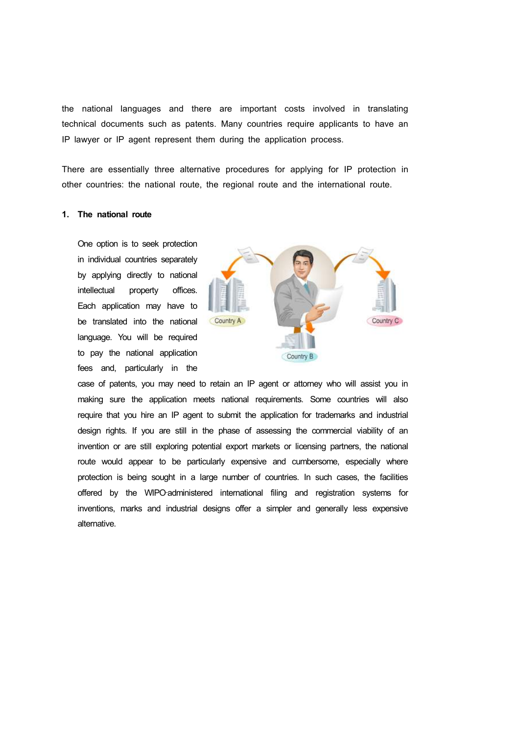the national languages and there are important costs involved in translating technical documents such as patents. Many countries require applicants to have an IP lawyer or IP agent represent them during the application process.

There are essentially three alternative procedures for applying for IP protection in other countries: the national route, the regional route and the international route.

## **1. The national route**

One option is to seek protection in individual countries separately by applying directly to national intellectual property offices. Each application may have to be translated into the national Country A language. You will be required to pay the national application fees and, particularly in the



case of patents, you may need to retain an IP agent or attorney who will assist you in making sure the application meets national requirements. Some countries will also require that you hire an IP agent to submit the application for trademarks and industrial design rights. If you are still in the phase of assessing the commercial viability of an invention or are still exploring potential export markets or licensing partners, the national route would appear to be particularly expensive and cumbersome, especially where protection is being sought in a large number of countries. In such cases, the facilities offered by the WIPO‐administered international filing and registration systems for inventions, marks and industrial designs offer a simpler and generally less expensive alternative.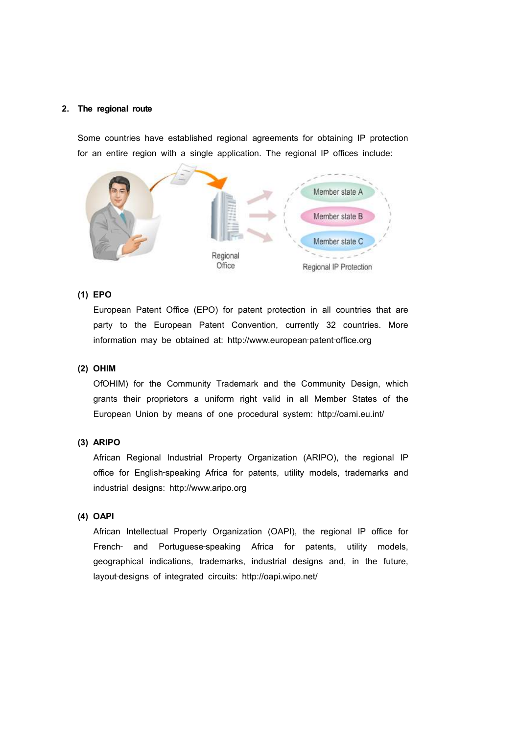### **2. The regional route**

Some countries have established regional agreements for obtaining IP protection for an entire region with a single application. The regional IP offices include:



## **(1) EPO**

European Patent Office (EPO) for patent protection in all countries that are party to the European Patent Convention, currently 32 countries. More information may be obtained at: http://www.european‐patent‐office.org

#### **(2) OHIM**

OfOHIM) for the Community Trademark and the Community Design, which grants their proprietors a uniform right valid in all Member States of the European Union by means of one procedural system: http://oami.eu.int/

## **(3) ARIPO**

African Regional Industrial Property Organization (ARIPO), the regional IP office for English‐speaking Africa for patents, utility models, trademarks and industrial designs: http://www.aripo.org

#### **(4) OAPI**

African Intellectual Property Organization (OAPI), the regional IP office for French- and Portuguese-speaking Africa for patents, utility models, geographical indications, trademarks, industrial designs and, in the future, layout-designs of integrated circuits: http://oapi.wipo.net/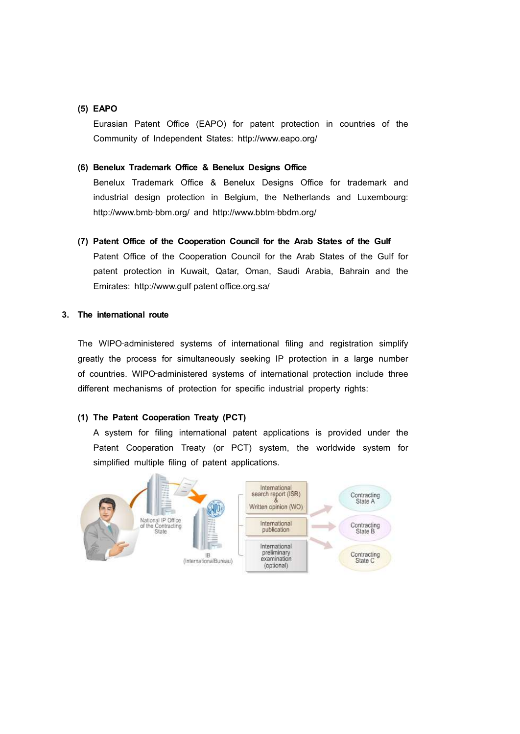## **(5) EAPO**

Eurasian Patent Office (EAPO) for patent protection in countries of the Community of Independent States: http://www.eapo.org/

## **(6) Benelux Trademark Office & Benelux Designs Office**

Benelux Trademark Office & Benelux Designs Office for trademark and industrial design protection in Belgium, the Netherlands and Luxembourg: http://www.bmb‐bbm.org/ and http://www.bbtm‐bbdm.org/

**(7) Patent Office of the Cooperation Council for the Arab States of the Gulf** 

Patent Office of the Cooperation Council for the Arab States of the Gulf for patent protection in Kuwait, Qatar, Oman, Saudi Arabia, Bahrain and the Emirates: http://www.gulf‐patent‐office.org.sa/

## **3. The international route**

The WIPO‐administered systems of international filing and registration simplify greatly the process for simultaneously seeking IP protection in a large number of countries. WIPO‐administered systems of international protection include three different mechanisms of protection for specific industrial property rights:

## **(1) The Patent Cooperation Treaty (PCT)**

A system for filing international patent applications is provided under the Patent Cooperation Treaty (or PCT) system, the worldwide system for simplified multiple filing of patent applications.

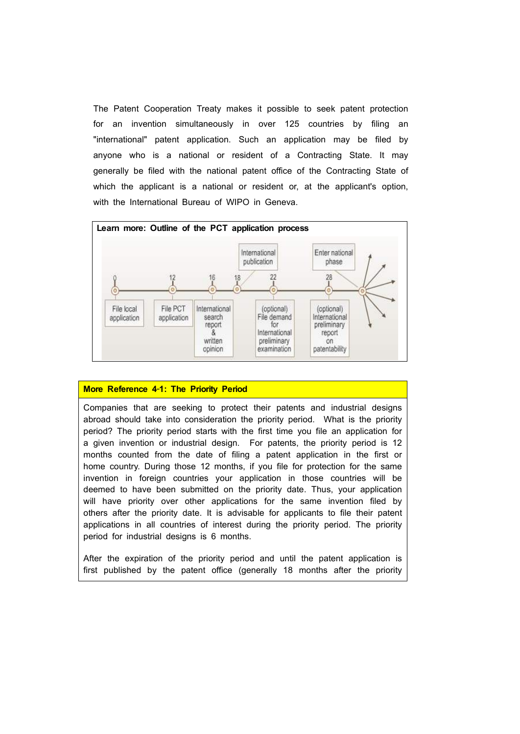The Patent Cooperation Treaty makes it possible to seek patent protection for an invention simultaneously in over 125 countries by filing an "international" patent application. Such an application may be filed by anyone who is a national or resident of a Contracting State. It may generally be filed with the national patent office of the Contracting State of which the applicant is a national or resident or, at the applicant's option, with the International Bureau of WIPO in Geneva.



## **More Reference 4**‐**1: The Priority Period**

Companies that are seeking to protect their patents and industrial designs abroad should take into consideration the priority period. What is the priority period? The priority period starts with the first time you file an application for a given invention or industrial design. For patents, the priority period is 12 months counted from the date of filing a patent application in the first or home country. During those 12 months, if you file for protection for the same invention in foreign countries your application in those countries will be deemed to have been submitted on the priority date. Thus, your application will have priority over other applications for the same invention filed by others after the priority date. It is advisable for applicants to file their patent applications in all countries of interest during the priority period. The priority period for industrial designs is 6 months.

After the expiration of the priority period and until the patent application is first published by the patent office (generally 18 months after the priority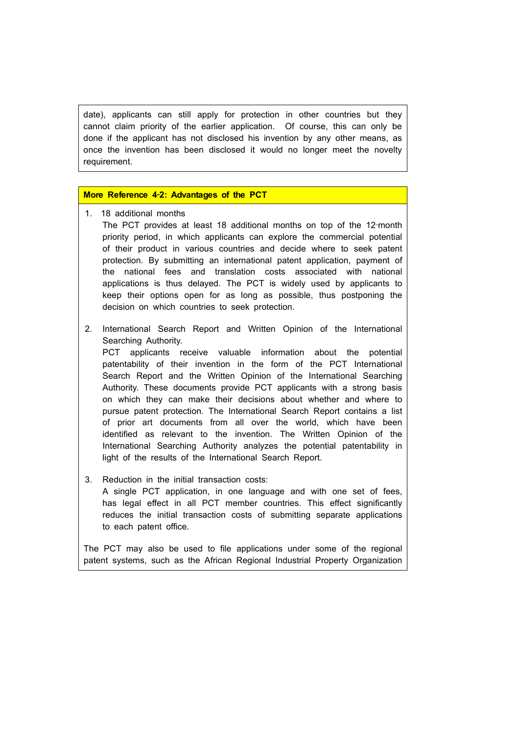date), applicants can still apply for protection in other countries but they cannot claim priority of the earlier application. Of course, this can only be done if the applicant has not disclosed his invention by any other means, as once the invention has been disclosed it would no longer meet the novelty requirement.

## **More Reference 4**‐**2: Advantages of the PCT**

- 1. 18 additional months
	- The PCT provides at least 18 additional months on top of the 12-month priority period, in which applicants can explore the commercial potential of their product in various countries and decide where to seek patent protection. By submitting an international patent application, payment of the national fees and translation costs associated with national applications is thus delayed. The PCT is widely used by applicants to keep their options open for as long as possible, thus postponing the decision on which countries to seek protection.
- 2. International Search Report and Written Opinion of the International Searching Authority. PCT applicants receive valuable information about the potential patentability of their invention in the form of the PCT International Search Report and the Written Opinion of the International Searching Authority. These documents provide PCT applicants with a strong basis on which they can make their decisions about whether and where to

pursue patent protection. The International Search Report contains a list of prior art documents from all over the world, which have been identified as relevant to the invention. The Written Opinion of the International Searching Authority analyzes the potential patentability in light of the results of the International Search Report.

3. Reduction in the initial transaction costs:

A single PCT application, in one language and with one set of fees, has legal effect in all PCT member countries. This effect significantly reduces the initial transaction costs of submitting separate applications to each patent office.

The PCT may also be used to file applications under some of the regional patent systems, such as the African Regional Industrial Property Organization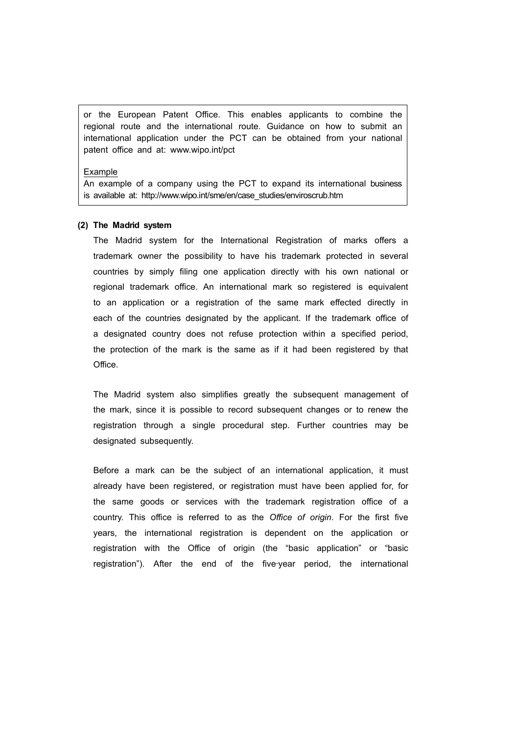or the European Patent Office. This enables applicants to combine the regional route and the international route. Guidance on how to submit an international application under the PCT can be obtained from your national patent office and at: www.wipo.int/pct

#### Example

An example of a company using the PCT to expand its international business is available at: http://www.wipo.int/sme/en/case\_studies/enviroscrub.htm

#### **(2) The Madrid system**

The Madrid system for the International Registration of marks offers a trademark owner the possibility to have his trademark protected in several countries by simply filing one application directly with his own national or regional trademark office. An international mark so registered is equivalent to an application or a registration of the same mark effected directly in each of the countries designated by the applicant. If the trademark office of a designated country does not refuse protection within a specified period, the protection of the mark is the same as if it had been registered by that Office.

The Madrid system also simplifies greatly the subsequent management of the mark, since it is possible to record subsequent changes or to renew the registration through a single procedural step. Further countries may be designated subsequently.

Before a mark can be the subject of an international application, it must already have been registered, or registration must have been applied for, for the same goods or services with the trademark registration office of a country. This office is referred to as the *Office of origin*. For the first five years, the international registration is dependent on the application or registration with the Office of origin (the "basic application" or "basic registration"). After the end of the five-year period, the international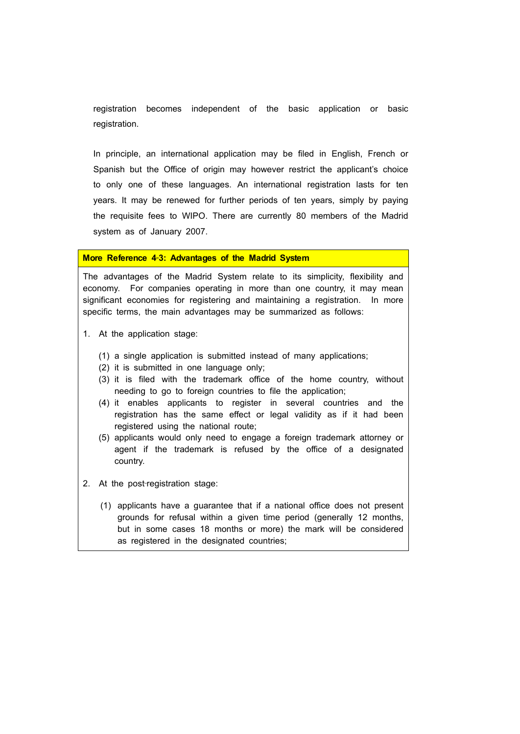registration becomes independent of the basic application or basic registration.

In principle, an international application may be filed in English, French or Spanish but the Office of origin may however restrict the applicant's choice to only one of these languages. An international registration lasts for ten years. It may be renewed for further periods of ten years, simply by paying the requisite fees to WIPO. There are currently 80 members of the Madrid system as of January 2007.

#### **More Reference 4**‐**3: Advantages of the Madrid System**

The advantages of the Madrid System relate to its simplicity, flexibility and economy. For companies operating in more than one country, it may mean significant economies for registering and maintaining a registration. In more specific terms, the main advantages may be summarized as follows:

- 1. At the application stage:
	- (1) a single application is submitted instead of many applications;
	- (2) it is submitted in one language only;
	- (3) it is filed with the trademark office of the home country, without needing to go to foreign countries to file the application;
	- (4) it enables applicants to register in several countries and the registration has the same effect or legal validity as if it had been registered using the national route;
	- (5) applicants would only need to engage a foreign trademark attorney or agent if the trademark is refused by the office of a designated country.
- 2. At the post-registration stage:
	- (1) applicants have a guarantee that if a national office does not present grounds for refusal within a given time period (generally 12 months, but in some cases 18 months or more) the mark will be considered as registered in the designated countries;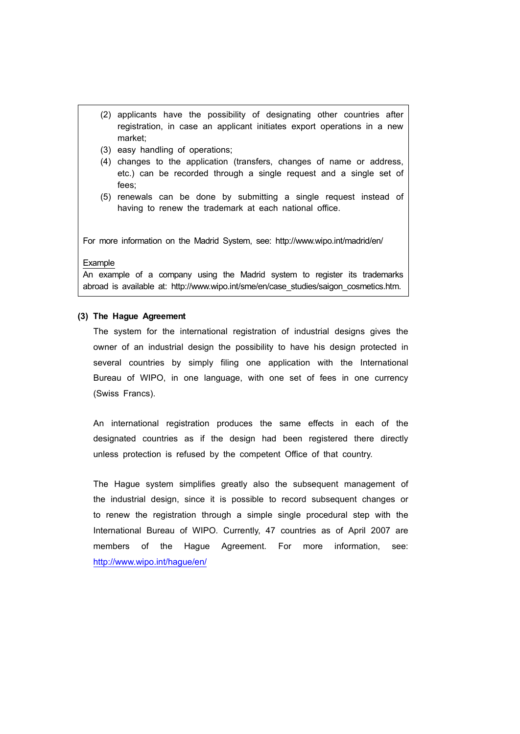- (2) applicants have the possibility of designating other countries after registration, in case an applicant initiates export operations in a new market;
- (3) easy handling of operations;
- (4) changes to the application (transfers, changes of name or address, etc.) can be recorded through a single request and a single set of fees;
- (5) renewals can be done by submitting a single request instead of having to renew the trademark at each national office.

For more information on the Madrid System, see: http://www.wipo.int/madrid/en/

#### Example

An example of a company using the Madrid system to register its trademarks abroad is available at: http://www.wipo.int/sme/en/case studies/saigon cosmetics.htm.

#### **(3) The Hague Agreement**

The system for the international registration of industrial designs gives the owner of an industrial design the possibility to have his design protected in several countries by simply filing one application with the International Bureau of WIPO, in one language, with one set of fees in one currency (Swiss Francs).

An international registration produces the same effects in each of the designated countries as if the design had been registered there directly unless protection is refused by the competent Office of that country.

The Hague system simplifies greatly also the subsequent management of the industrial design, since it is possible to record subsequent changes or to renew the registration through a simple single procedural step with the International Bureau of WIPO. Currently, 47 countries as of April 2007 are members of the Hague Agreement. For more information, see: http://www.wipo.int/hague/en/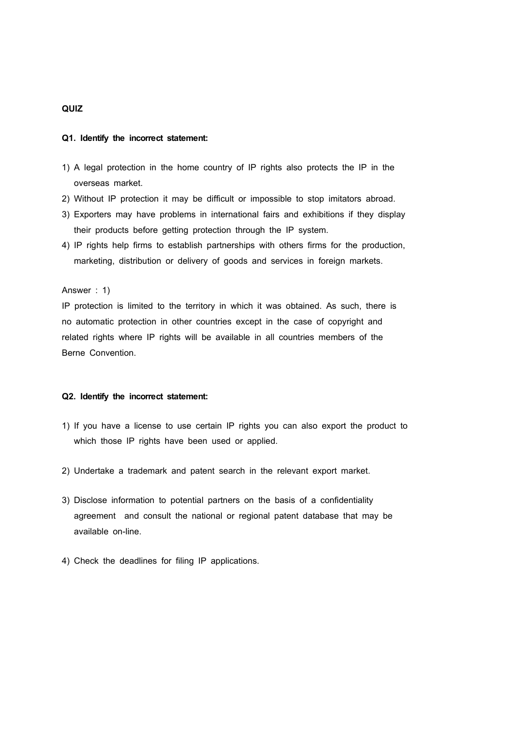## **QUIZ**

#### **Q1. Identify the incorrect statement:**

- 1) A legal protection in the home country of IP rights also protects the IP in the overseas market.
- 2) Without IP protection it may be difficult or impossible to stop imitators abroad.
- 3) Exporters may have problems in international fairs and exhibitions if they display their products before getting protection through the IP system.
- 4) IP rights help firms to establish partnerships with others firms for the production, marketing, distribution or delivery of goods and services in foreign markets.

#### Answer : 1)

IP protection is limited to the territory in which it was obtained. As such, there is no automatic protection in other countries except in the case of copyright and related rights where IP rights will be available in all countries members of the Berne Convention.

#### **Q2. Identify the incorrect statement:**

- 1) If you have a license to use certain IP rights you can also export the product to which those IP rights have been used or applied.
- 2) Undertake a trademark and patent search in the relevant export market.
- 3) Disclose information to potential partners on the basis of a confidentiality agreement and consult the national or regional patent database that may be available on-line.
- 4) Check the deadlines for filing IP applications.